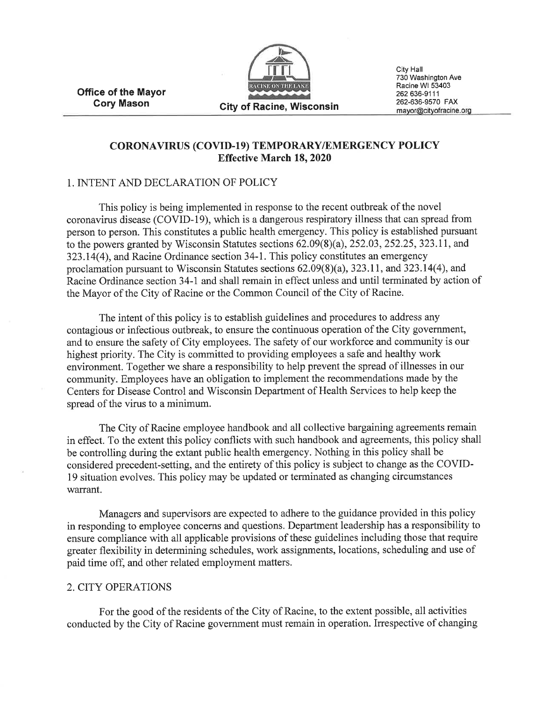Office of the Mayor Cory Mason



City Hall 730 Washington Ave Racine Wl 53403 262 636-9111 262-636-9570 FAX<br>mayor@cityofracine.org

## CORONAVTRUS (COVTD-l9) TEMPORARY/EMERGENCY POLICY Effective March 18, 2020

#### 1. INTENT AND DECLARATION OF POLICY

This policy is being implemented in response to the recent outbreak of the novel coronavirus disease (COVID-19), which is a dangerous respiratory illness that can spread from person to person. This constitutes a public health emergency. This policy is established pursuant to the powers granted by Wisconsin Statutes sections  $62.09(8)(a)$ ,  $252.03$ ,  $252.25$ ,  $323.11$ , and 323.14(4), and Racine Ordinance section 34-1. This policy constitutes an emergency proclamation pursuant to Wisconsin Statutes sections  $62.09(8)(a)$ ,  $323.11$ , and  $323.14(4)$ , and Racine Ordinance section 34-I and shall remain in effect unless and until terminated by action of the Mayor of the City of Racine or the Common Council of the City of Racine.

The intent of this policy is to establish guidelines and procedures to address any contagious or infectious outbreak, to ensure the continuous operation of the City government, and to ensure the safety of City employees. The safety of our workforce and community is our highest priority. The City is committed to providing employees a safe and healthy work environment. Together we share a responsibility to help prevent the spread of illnesses in our community. Employees have an obligation to implement the recommendations made by the Centers for Disease Control and Wisconsin Department of Health Services to help keep the spread of the virus to a minimum.

The City of Racine employee handbook and all collective bargaining agreements remain in effect. To the extent this policy conflicts with such handbook and agreements, this policy shall be controlling during the extant public health emergency. Nothing in this policy shall be considered precedent-setting, and the entirety of this policy is subject to change as the COVID-19 situation evolves. This policy may be updated or terminated as changing circumstances warrant.

Managers and supervisors are expected to adhere to the guidance provided in this policy in responding to employee concerns and questions. Department leadership has a responsibility to ensure compliance with all applicable provisions of these guidelines including those that require greater flexibility in determining schedules, work assignments, locations, scheduling and use of paid time off, and other related employment matters.

#### 2. CITY OPERATIONS

For the good of the residents of the City of Racine, to the extent possible, all activities conducted by the City of Racine government must remain in operation. Irrespective of changing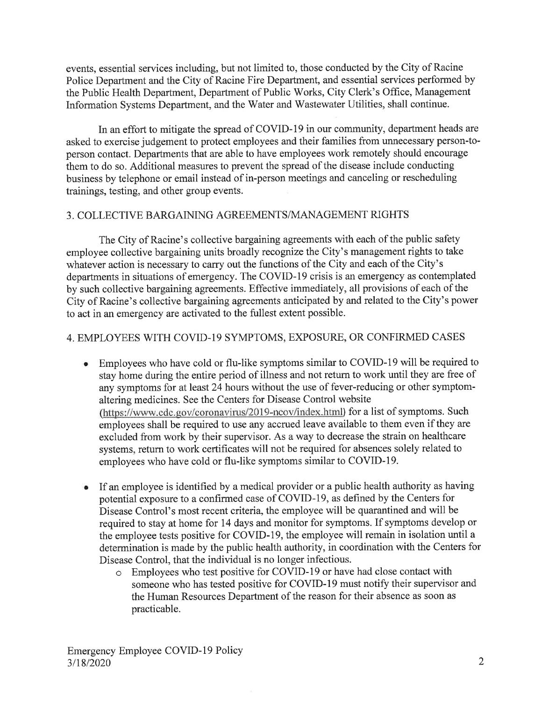events, essential services including, but not limited to, those conducted by the City of Racine Police Department and the City of Racine Fire Department, and essential services performed by the Public Health Department, Department of Public Works, City Clerk's Office, Management Information Systems Department, and the Water and Wastewater Utilities, shall continue.

In an effort to mitigate the spread of COVID-19 in our community, department heads are asked to exercise judgement to protect employees and their families from unnecessary person-toperson contact. Departments that are able to have employees work remotely should encourage them to do so. Additional measures to prevent the spread of the disease include conducting business by telephone or email instead of in-person meetings and canceling or rescheduling trainings, testing, and other group events.

#### 3. COLLECTIVE BARGAINING AGREEMENTS/MANAGEMENT RIGHTS

The City of Racine's collective bargaining agreements with each of the public safety employee collective bargaining units broadly recognize the City's management rights to take whatever action is necessary to carry out the functions of the City and each of the City's departments in situations of emergency. The COVID-I9 crisis is an emergency as contemplated by such collective bargaining agreements. Effective immediately, all provisions of each of the City of Racine's collective bargaining agreements anticipated by and related to the City's power to act in an emergency are activated to the fullest extent possible.

## 4. EMPLOYEES WITH COVID-l9 SYMPTOMS, EXPOSURE, OR CONFIRMED CASES

- Employees who have cold or flu-like symptoms similar to COVID-19 will be required to stay home during the entire period of illness and not return to work until they are free of any symptoms for at least 24 hours without the use of fever-reducing or other symptomaltering medicines. See the Centers for Disease Control website (https://www.cdc.gov/coronavirus/2019-ncov/index.html) for a list of symptoms. Such employees shall be required to use any accrued leave available to them even if they are excluded from work by their supervisor. As a way to decrease the strain on healthcare systems, return to work certificates will not be required for absences solely related to employees who have cold or flu-like symptoms similar to COVID-19. a
- If an employee is identified by a medical provider or a public health authority as having potential exposure to a confirmed case of COVID-19, as defined by the Centers for Disease Control's most recent criteria, the employee will be quarantined and will be required to stay at home for 14 days and monitor for symptoms. If symptoms develop or the employee tests positive for COVID-I9, the employee will remain in isolation until a determination is made by the public health authority, in coordination with the Centers for Disease Control, that the individual is no longer infectious. a
	- o Employees who test positive for COVID-19 or have had close contact with someone who has tested positive for COVID-l9 must notify their supervisor and the Human Resources Department of the reason for their absence as soon as practicable.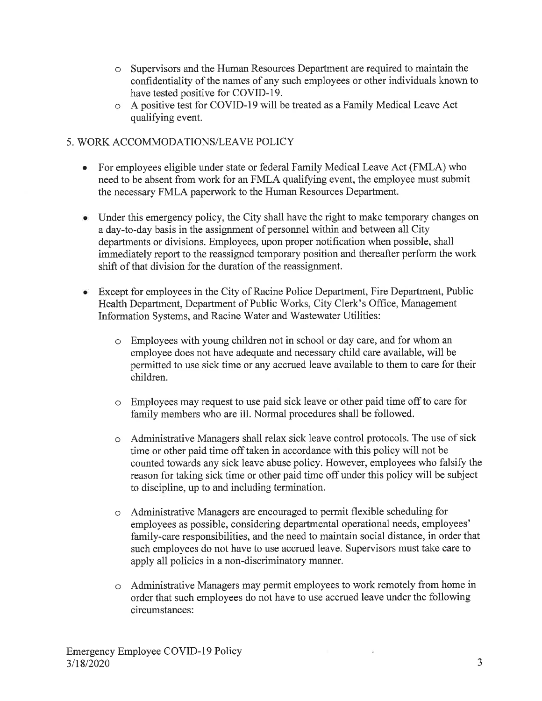- Supervisors and the Human Resources Department are required to maintain the confidentiality of the names of any such employees or other individuals known to have tested positive for COVID-l9.
- A positive test for COVID-19 will be treated as a Family Medical Leave Act quaiifying event.

## 5. WORK ACCOMMODATIONS/LEAVE POLICY

- For employees eligible under state or federal Family Medical Leave Act (FMLA) who need to be absent from work for an FMLA qualifying event, the employee must submit the necessary FMLA paperwork to the Human Resources Department. o
- Under this emergency policy, the City shall have the right to make temporary changes on a day-to-day basis in the assignment of personnel within and between all City departments or divisions. Employees, upon proper notification when possible, shall immediately report to the reassigned temporary position and thereafter perform the work shift of that division for the duration of the reassignment.
- Except for employees in the City of Racine Police Department, Fire Department, Public Health Department, Department of Public Works, City Clerk's Office, Management Information Systems, and Racine Water and Wastewater Utilities:
	- o Employees with young children not in school or day care, and for whom an employee does not have adequate and necessary child care available, will be permitted to use sick time or any accrued leave available to them to care for their children.
	- o Employees may request to use paid sick leave or other paid time off to care for family members who are ill. Normal procedures shall be followed.
	- Administrative Managers shall relax sick leave control protocols. The use of sick  $\circ$ time or other paid time off taken in accordance with this policy will not be counted towards any sick leave abuse policy. However, employees who falsify the reason for taking sick time or other paid time off under this policy will be subject to discipline, up to and including termination.
	- o Administrative Managers are encouraged to permit flexible scheduling for employees as possible, considering departmental operational needs, employees' family-care responsibilities, and the need to maintain social distance, in order that such employees do not have to use accrued leave. Supervisors must take care to apply all policies in a non-discriminatory manner.
	- o Administrative Managers may permit employees to work remotely from home in order that such employees do not have to use accrued leave under the following circumstances:

 $\leq$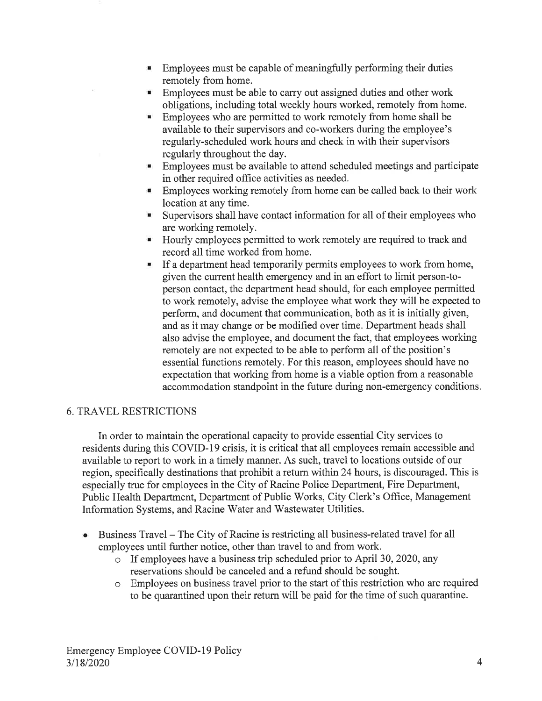- Employees must be capable of meaningfully performing their duties remotely from home.
- **Employees must be able to carry out assigned duties and other work** obligations, including total weekly hours worked, remotely from home.
- **Employees who are permitted to work remotely from home shall be** available to their supervisors and co-workers during the employee's regularly-scheduled work hours and check in with their supervisors regularly throughout the day.
- Employees must be available to attend scheduled meetings and participate M) in other required office activities as needed.
- **Employees working remotely from home can be called back to their work** location at any time.
- Supervisors shall have contact information for all of their employees who are working remotely.
- Hourly employees permitted to work remotely are required to track and  $\blacksquare$ record all time worked from home.
- If a department head temporarily permits employees to work from home, given the current health emergency and in an effort to limit person-toperson contact, the department head should, for each employee permitted to work remotely, advise the employee what work they will be expected to perform, and document that communication, both as it is initially given, and as it may change or be modified over time. Department heads shall also advise the employee, and document the fact, that employees working remotely are not expected to be able to perform all of the position's essential functions remotely. For this reason, employees should have no expectation that working from home is a viable option from a reasonable accommodation standpoint in the future during non-emergency conditions.

## 6. TRAVEL RESTzuCTIONS

In order to maintain the operational capacity to provide essential City services to residents during this COVID-19 crisis, it is critical that all employees remain accessible and available to report to work in a timely manner. As such, travel to locations outside of our region, specifically destinations that prohibit a retum within 24 hours, is discouraged. This is especially true for employees in the City of Racine Police Department, Fire Department, Public Health Department, Department of Public Works, City Clerk's Office, Management Information Systems, and Racine Water and Wastewater Utilities.

- Business Travel The City of Racine is restricting all business-related travel for all employees until further notice, other than travel to and from work. o
	- o If employees have a business trip scheduled prior to April 30,2020, any reservations should be canceled and a refund should be sought.
	- o Employees on business travel prior to the start of this restriction who are required to be quarantined upon their retum will be paid for the time of such quarantine.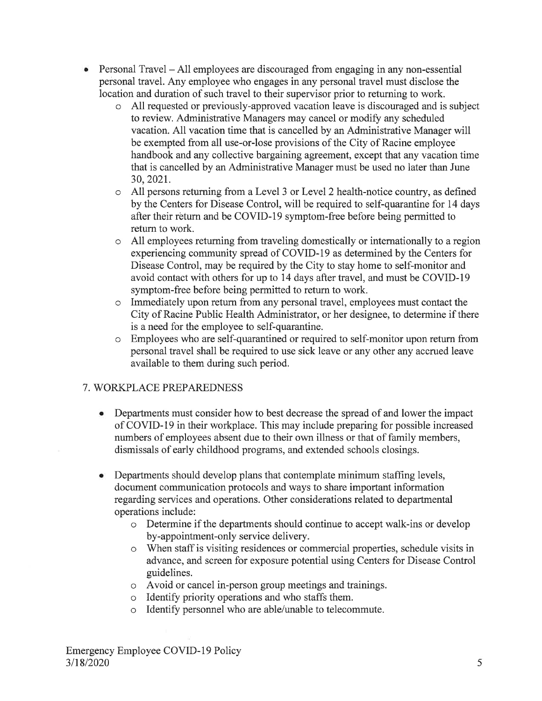- $\bullet$  Personal Travel All employees are discouraged from engaging in any non-essential personal travel. Any employee who engages in any personal travel must disclose the location and duration of such travel to their supervisor prior to returning to work.
	- o All requested or previously-approved vacation leave is discouraged and is subject to review. Administrative Managers may cancel or modify any scheduled vacation. All vacation time that is cancelled by an Administrative Manager will be exempted from all use-or-lose provisions of the City of Racine employee handbook and any collective bargaining agreement, except that any vacation time that is cancelled by an Administrative Manager must be used no later than June 30,2021.
	- o All persons returning from a Level 3 or Level 2 health-notice country, as defined by the Centers for Disease Control, will be required to self-quarantine for 14 days after their return and be COVID-19 symptom-free before being permitted to retum to work.
	- o A11 employees retuming from traveling domestically or internationally to a region experiencing community spread of COVID-I9 as determined by the Centers for Disease Control, may be required by the City to stay home to self-monitor and avoid contact with others for up to 14 days after travel, and must be COVID-I9 symptom-free before being permitted to return to work.
	- o Immediately upon return from any personal travel, employees must contact the City of Racine Public Health Administrator, or her designee, to determine if there is a need for the employee to self-quarantine.
	- o Employees who are self-quarantined or required to self-monitor upon return from personal travel shall be required to use sick leave or any other any accrued leave available to them during such period.

# 7. WORKPLACE PREPAREDNESS

- Departments must consider how to best decrease the spread of and lower the impact of COVID-19 in their workplace. This may include preparing for possible increased numbers of employees absent due to their own illness or that of family members, dismissals of early childhood programs, and extended schools closings.
- Departments should develop plans that contemplate minimum staffing levels, document communication protocols and ways to share important information regarding services and operations. Other considerations related to departmental operations include: a
	- o Determine if the departments should continue to accept walk-ins or develop by-appointment-only service delivery.
	- o When staff is visiting residences or commercial properties, schedule visits in advance, and screen for exposure potential using Centers for Disease Control guidelines.
	- o Avoid or cancel in-person group meetings and trainings.
	- o Identify priority operations and who staffs them.
	- o Identify personnel who are able/unable to telecommute.